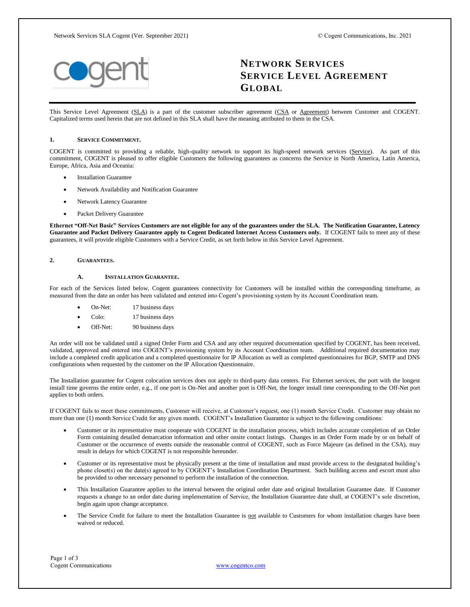

# **NETWORK SERVICES SERVICE LEVEL AGREEMENT GLOBAL**

This Service Level Agreement (SLA) is a part of the customer subscriber agreement (CSA or Agreement) between Customer and COGENT. Capitalized terms used herein that are not defined in this SLA shall have the meaning attributed to them in the CSA.

## **1. SERVICE COMMITMENT.**

COGENT is committed to providing a reliable, high-quality network to support its high-speed network services (Service). As part of this commitment, COGENT is pleased to offer eligible Customers the following guarantees as concerns the Service in North America, Latin America, Europe, Africa, Asia and Oceania:

- Installation Guarantee
- Network Availability and Notification Guarantee
- Network Latency Guarantee
- Packet Delivery Guarantee

**Ethernet "Off-Net Basic" Services Customers are not eligible for any of the guarantees under the SLA. The Notification Guarantee, Latency Guarantee and Packet Delivery Guarantee apply to Cogent Dedicated Internet Access Customers only.** If COGENT fails to meet any of these guarantees, it will provide eligible Customers with a Service Credit, as set forth below in this Service Level Agreement.

#### **2. GUARANTEES.**

# **A. INSTALLATION GUARANTEE.**

For each of the Services listed below, Cogent guarantees connectivity for Customers will be installed within the corresponding timeframe, as measured from the date an order has been validated and entered into Cogent's provisioning system by its Account Coordination team.

- On-Net: 17 business days
- Colo: 17 business days
- Off-Net: 90 business days

An order will not be validated until a signed Order Form and CSA and any other required documentation specified by COGENT, has been received, validated, approved and entered into COGENT's provisioning system by its Account Coordination team. Additional required documentation may include a completed credit application and a completed questionnaire for IP Allocation as well as completed questionnaires for BGP, SMTP and DNS configurations when requested by the customer on the IP Allocation Questionnaire.

The Installation guarantee for Cogent colocation services does not apply to third-party data centers. For Ethernet services, the port with the longest install time governs the entire order, e.g., if one port is On-Net and another port is Off-Net, the longer install time corresponding to the Off-Net port applies to both orders.

If COGENT fails to meet these commitments, Customer will receive, at Customer's request, one (1) month Service Credit. Customer may obtain no more than one (1) month Service Credit for any given month. COGENT's Installation Guarantee is subject to the following conditions:

- Customer or its representative must cooperate with COGENT in the installation process, which includes accurate completion of an Order Form containing detailed demarcation information and other onsite contact listings. Changes in an Order Form made by or on behalf of Customer or the occurrence of events outside the reasonable control of COGENT, such as Force Majeure (as defined in the CSA), may result in delays for which COGENT is not responsible hereunder.
- Customer or its representative must be physically present at the time of installation and must provide access to the designated building's phone closet(s) on the date(s) agreed to by COGENT's Installation Coordination Department. Such building access and escort must also be provided to other necessary personnel to perform the installation of the connection.
- This Installation Guarantee applies to the interval between the original order date and original Installation Guarantee date. If Customer requests a change to an order date during implementation of Service, the Installation Guarantee date shall, at COGENT's sole discretion, begin again upon change acceptance.
- The Service Credit for failure to meet the Installation Guarantee is not available to Customers for whom installation charges have been waived or reduced.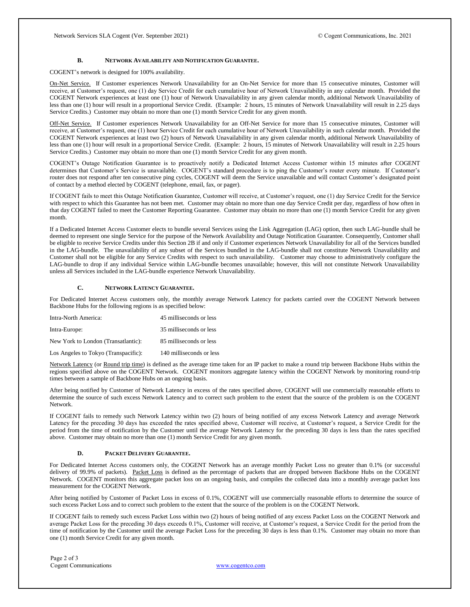## **B. NETWORK AVAILABILITY AND NOTIFICATION GUARANTEE.**

COGENT's network is designed for 100% availability.

On-Net Service. If Customer experiences Network Unavailability for an On-Net Service for more than 15 consecutive minutes, Customer will receive, at Customer's request, one (1) day Service Credit for each cumulative hour of Network Unavailability in any calendar month. Provided the COGENT Network experiences at least one (1) hour of Network Unavailability in any given calendar month, additional Network Unavailability of less than one (1) hour will result in a proportional Service Credit. (Example: 2 hours, 15 minutes of Network Unavailability will result in 2.25 days Service Credits.) Customer may obtain no more than one (1) month Service Credit for any given month.

Off-Net Service. If Customer experiences Network Unavailability for an Off-Net Service for more than 15 consecutive minutes, Customer will receive, at Customer's request, one (1) hour Service Credit for each cumulative hour of Network Unavailability in such calendar month. Provided the COGENT Network experiences at least two (2) hours of Network Unavailability in any given calendar month, additional Network Unavailability of less than one (1) hour will result in a proportional Service Credit. (Example: 2 hours, 15 minutes of Network Unavailability will result in 2.25 hours Service Credits.) Customer may obtain no more than one (1) month Service Credit for any given month.

COGENT's Outage Notification Guarantee is to proactively notify a Dedicated Internet Access Customer within 15 minutes after COGENT determines that Customer's Service is unavailable. COGENT's standard procedure is to ping the Customer's router every minute. If Customer's router does not respond after ten consecutive ping cycles, COGENT will deem the Service unavailable and will contact Customer's designated point of contact by a method elected by COGENT (telephone, email, fax, or pager).

If COGENT fails to meet this Outage Notification Guarantee, Customer will receive, at Customer's request, one (1) day Service Credit for the Service with respect to which this Guarantee has not been met. Customer may obtain no more than one day Service Credit per day, regardless of how often in that day COGENT failed to meet the Customer Reporting Guarantee. Customer may obtain no more than one (1) month Service Credit for any given month.

If a Dedicated Internet Access Customer elects to bundle several Services using the Link Aggregation (LAG) option, then such LAG-bundle shall be deemed to represent one single Service for the purpose of the Network Availability and Outage Notification Guarantee. Consequently, Customer shall be eligible to receive Service Credits under this Section 2B if and only if Customer experiences Network Unavailability for all of the Services bundled in the LAG-bundle. The unavailability of any subset of the Services bundled in the LAG-bundle shall not constitute Network Unavailability and Customer shall not be eligible for any Service Credits with respect to such unavailability. Customer may choose to administratively configure the LAG-bundle to drop if any individual Service within LAG-bundle becomes unavailable; however, this will not constitute Network Unavailability unless all Services included in the LAG-bundle experience Network Unavailability.

# **C. NETWORK LATENCY GUARANTEE.**

For Dedicated Internet Access customers only, the monthly average Network Latency for packets carried over the COGENT Network between Backbone Hubs for the following regions is as specified below:

| Intra-North America:                 | 45 milliseconds or less  |
|--------------------------------------|--------------------------|
| Intra-Europe:                        | 35 milliseconds or less  |
| New York to London (Transatlantic):  | 85 milliseconds or less  |
| Los Angeles to Tokyo (Transpacific): | 140 milliseconds or less |

Network Latency (or Round trip time) is defined as the average time taken for an IP packet to make a round trip between Backbone Hubs within the regions specified above on the COGENT Network. COGENT monitors aggregate latency within the COGENT Network by monitoring round-trip times between a sample of Backbone Hubs on an ongoing basis.

After being notified by Customer of Network Latency in excess of the rates specified above, COGENT will use commercially reasonable efforts to determine the source of such excess Network Latency and to correct such problem to the extent that the source of the problem is on the COGENT Network.

If COGENT fails to remedy such Network Latency within two (2) hours of being notified of any excess Network Latency and average Network Latency for the preceding 30 days has exceeded the rates specified above, Customer will receive, at Customer's request, a Service Credit for the period from the time of notification by the Customer until the average Network Latency for the preceding 30 days is less than the rates specified above. Customer may obtain no more than one (1) month Service Credit for any given month.

## **D. PACKET DELIVERY GUARANTEE.**

For Dedicated Internet Access customers only, the COGENT Network has an average monthly Packet Loss no greater than 0.1% (or successful delivery of 99.9% of packets). Packet Loss is defined as the percentage of packets that are dropped between Backbone Hubs on the COGENT Network. COGENT monitors this aggregate packet loss on an ongoing basis, and compiles the collected data into a monthly average packet loss measurement for the COGENT Network.

After being notified by Customer of Packet Loss in excess of 0.1%, COGENT will use commercially reasonable efforts to determine the source of such excess Packet Loss and to correct such problem to the extent that the source of the problem is on the COGENT Network.

If COGENT fails to remedy such excess Packet Loss within two (2) hours of being notified of any excess Packet Loss on the COGENT Network and average Packet Loss for the preceding 30 days exceeds 0.1%, Customer will receive, at Customer's request, a Service Credit for the period from the time of notification by the Customer until the average Packet Loss for the preceding 30 days is less than 0.1%. Customer may obtain no more than one (1) month Service Credit for any given month.

Page 2 of 3 Cogent Communications [www.cogentco.com](http://www.cogentco.com/)